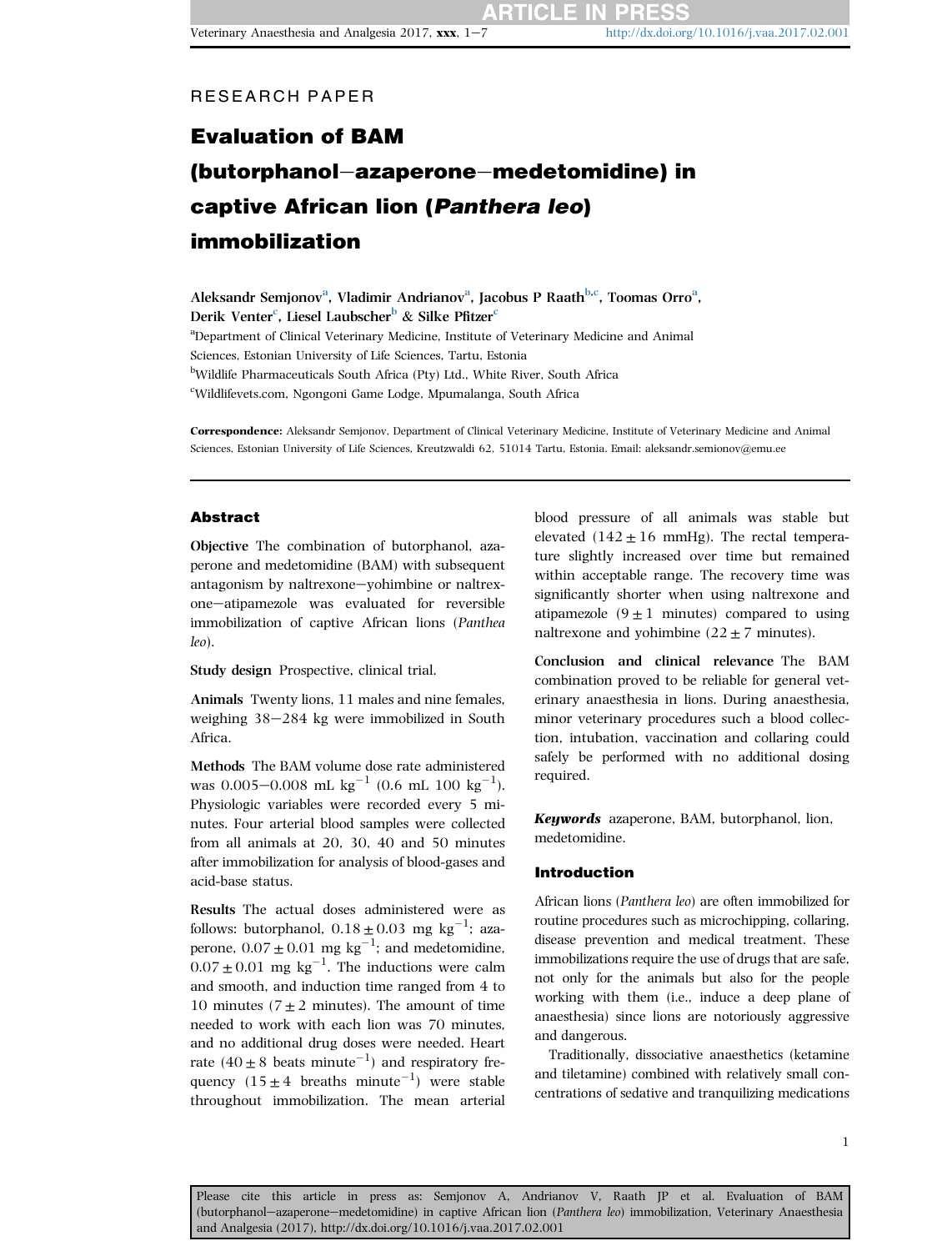**ARTICLE IN PR** 

# Evaluation of BAM (butorphanol-azaperone-medetomidine) in captive African lion (Panthera leo) immobilization

Aleksandr Semjonov<sup>a</sup>, Vladimir Andrianov<sup>a</sup>, Jacobus P Raath<sup>b,c</sup>, Toomas Orro<sup>a</sup>, Derik Venter<sup>c</sup>, Liesel Laubscher<sup>b</sup> & Silke Pfitzer<sup>c</sup> <sup>a</sup>Department of Clinical Veterinary Medicine, Institute of Veterinary Medicine and Animal Sciences, Estonian University of Life Sciences, Tartu, Estonia <sup>b</sup>Wildlife Pharmaceuticals South Africa (Pty) Ltd., White River, South Africa c Wildlifevets.com, Ngongoni Game Lodge, Mpumalanga, South Africa

Correspondence: Aleksandr Semjonov, Department of Clinical Veterinary Medicine, Institute of Veterinary Medicine and Animal Sciences, Estonian University of Life Sciences, Kreutzwaldi 62, 51014 Tartu, Estonia. Email: aleksandr.semionov@emu.ee

# Abstract

Objective The combination of butorphanol, azaperone and medetomidine (BAM) with subsequent antagonism by naltrexone-yohimbine or naltrexone-atipamezole was evaluated for reversible immobilization of captive African lions (Panthea leo).

Study design Prospective, clinical trial.

Animals Twenty lions, 11 males and nine females, weighing  $38-284$  kg were immobilized in South Africa.

Methods The BAM volume dose rate administered was  $0.005-0.008$  mL  $\text{kg}^{-1}$   $(0.6 \text{ mL } 100 \text{ kg}^{-1})$ . Physiologic variables were recorded every 5 minutes. Four arterial blood samples were collected from all animals at 20, 30, 40 and 50 minutes after immobilization for analysis of blood-gases and acid-base status.

Results The actual doses administered were as follows: butorphanol,  $0.18 \pm 0.03$  mg kg<sup>-1</sup>; azaperone,  $0.07 \pm 0.01$  mg kg<sup>-1</sup>; and medetomidine,  $0.07 \pm 0.01$  mg kg<sup>-1</sup>. The inductions were calm and smooth, and induction time ranged from 4 to 10 minutes ( $7 \pm 2$  minutes). The amount of time needed to work with each lion was 70 minutes, and no additional drug doses were needed. Heart rate  $(40 \pm 8$  beats minute<sup>-1</sup>) and respiratory frequency  $(15 \pm 4$  breaths minute<sup>-1</sup>) were stable throughout immobilization. The mean arterial blood pressure of all animals was stable but elevated  $(142 \pm 16 \text{ mmHg})$ . The rectal temperature slightly increased over time but remained within acceptable range. The recovery time was significantly shorter when using naltrexone and atipamezole  $(9 \pm 1$  minutes) compared to using naltrexone and yohimbine  $(22 \pm 7 \text{ minutes})$ .

Conclusion and clinical relevance The BAM combination proved to be reliable for general veterinary anaesthesia in lions. During anaesthesia, minor veterinary procedures such a blood collection, intubation, vaccination and collaring could safely be performed with no additional dosing required.

Keywords azaperone, BAM, butorphanol, lion, medetomidine.

## Introduction

African lions (Panthera leo) are often immobilized for routine procedures such as microchipping, collaring, disease prevention and medical treatment. These immobilizations require the use of drugs that are safe, not only for the animals but also for the people working with them (i.e., induce a deep plane of anaesthesia) since lions are notoriously aggressive and dangerous.

Traditionally, dissociative anaesthetics (ketamine and tiletamine) combined with relatively small concentrations of sedative and tranquilizing medications

1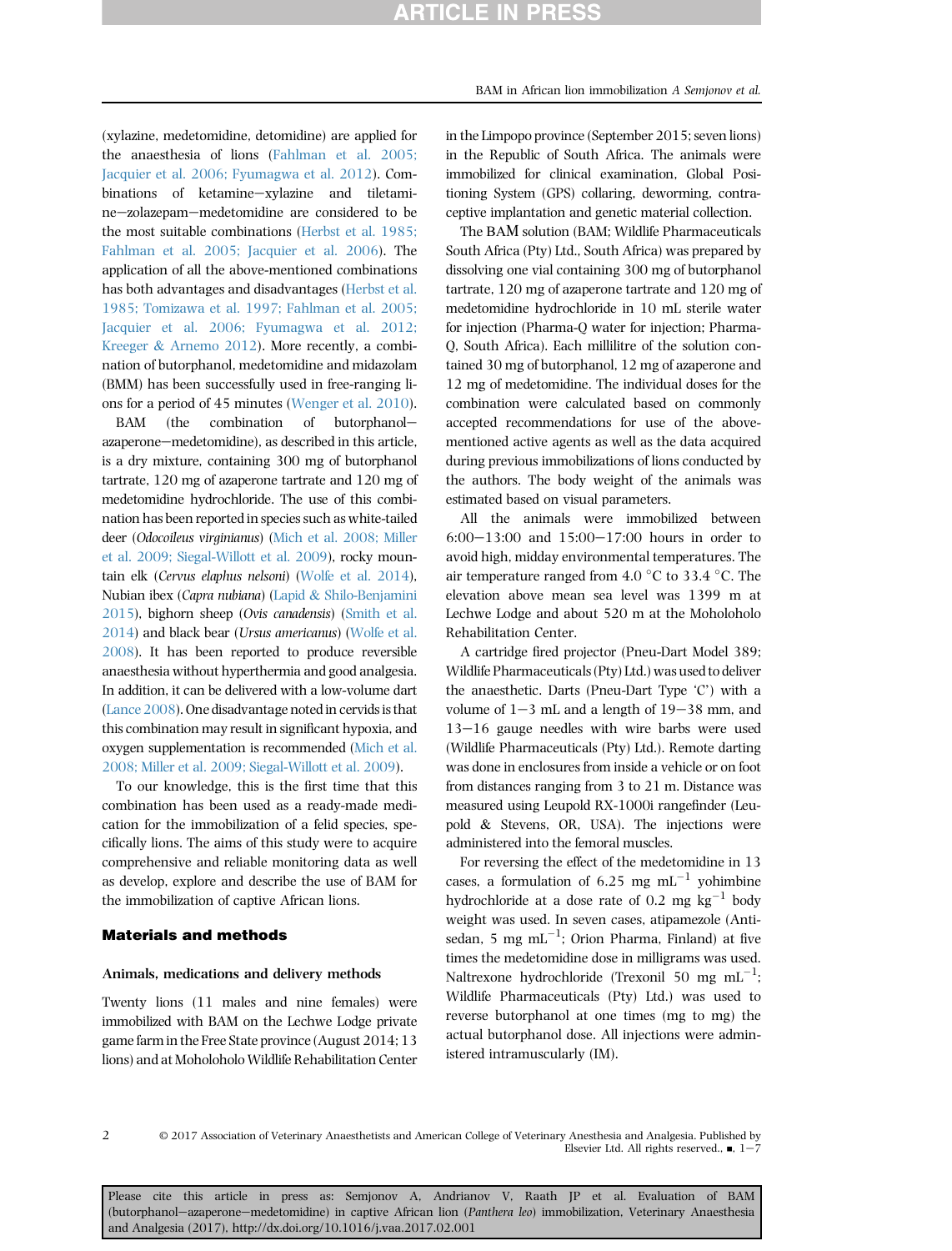(xylazine, medetomidine, detomidine) are applied for the anaesthesia of lions ([Fahlman et al. 2005;](#page-5-0) [Jacquier et al. 2006; Fyumagwa et al. 2012\)](#page-5-0). Combinations of ketamine-xylazine and tiletamine-zolazepam-medetomidine are considered to be the most suitable combinations ([Herbst et al. 1985;](#page-5-0) [Fahlman et al. 2005; Jacquier et al. 2006\)](#page-5-0). The application of all the above-mentioned combinations has both advantages and disadvantages [\(Herbst et al.](#page-5-0) [1985; Tomizawa et al. 1997; Fahlman et al. 2005;](#page-5-0) [Jacquier et al. 2006; Fyumagwa et al. 2012;](#page-5-0) [Kreeger](#page-5-0) & [Arnemo 2012\)](#page-5-0). More recently, a combination of butorphanol, medetomidine and midazolam (BMM) has been successfully used in free-ranging lions for a period of 45 minutes [\(Wenger et al. 2010\)](#page-6-0).

BAM (the combination of butorphanolazaperone-medetomidine), as described in this article, is a dry mixture, containing 300 mg of butorphanol tartrate, 120 mg of azaperone tartrate and 120 mg of medetomidine hydrochloride. The use of this combination has been reported in species such as white-tailed deer (Odocoileus virginianus) [\(Mich et al. 2008; Miller](#page-6-0) [et al. 2009; Siegal-Willott et al. 2009\)](#page-6-0), rocky mountain elk (Cervus elaphus nelsoni) ([Wolfe et al. 2014](#page-6-0)), Nubian ibex (Capra nubiana) [\(Lapid](#page-5-0) & [Shilo-Benjamini](#page-5-0) [2015\)](#page-5-0), bighorn sheep (Ovis canadensis) [\(Smith et al.](#page-6-0) [2014\)](#page-6-0) and black bear (Ursus americanus) [\(Wolfe et al.](#page-6-0) [2008\)](#page-6-0). It has been reported to produce reversible anaesthesia without hyperthermia and good analgesia. In addition, it can be delivered with a low-volume dart ([Lance 2008\)](#page-5-0). One disadvantage noted in cervids is that this combination may result in significant hypoxia, and oxygen supplementation is recommended ([Mich et al.](#page-6-0) [2008; Miller et al. 2009; Siegal-Willott et al. 2009](#page-6-0)).

To our knowledge, this is the first time that this combination has been used as a ready-made medication for the immobilization of a felid species, specifically lions. The aims of this study were to acquire comprehensive and reliable monitoring data as well as develop, explore and describe the use of BAM for the immobilization of captive African lions.

#### Materials and methods

#### Animals, medications and delivery methods

Twenty lions (11 males and nine females) were immobilized with BAM on the Lechwe Lodge private game farm in the Free State province (August 2014; 13 lions) and at Moholoholo Wildlife Rehabilitation Center BAM in African lion immobilization A Semjonov et al.

in the Republic of South Africa. The animals were immobilized for clinical examination, Global Positioning System (GPS) collaring, deworming, contraceptive implantation and genetic material collection.

The ВАМ solution (BAM; Wildlife Pharmaceuticals South Africa (Pty) Ltd., South Africa) was prepared by dissolving one vial containing 300 mg of butorphanol tartrate, 120 mg of azaperone tartrate and 120 mg of medetomidine hydrochloride in 10 mL sterile water for injection (Pharma-Q water for injection; Pharma-Q, South Africa). Each millilitre of the solution contained 30 mg of butorphanol, 12 mg of azaperone and 12 mg of medetomidine. The individual doses for the combination were calculated based on commonly accepted recommendations for use of the abovementioned active agents as well as the data acquired during previous immobilizations of lions conducted by the authors. The body weight of the animals was estimated based on visual parameters.

All the animals were immobilized between 6:00 $-13:00$  and  $15:00-17:00$  hours in order to avoid high, midday environmental temperatures. The air temperature ranged from  $4.0\degree$ C to 33.4  $\degree$ C. The elevation above mean sea level was 1399 m at Lechwe Lodge and about 520 m at the Moholoholo Rehabilitation Center.

A cartridge fired projector (Pneu-Dart Model 389; Wildlife Pharmaceuticals (Pty) Ltd.) was used to deliver the anaesthetic. Darts (Pneu-Dart Type 'C') with a volume of  $1-3$  mL and a length of  $19-38$  mm, and  $13-16$  gauge needles with wire barbs were used (Wildlife Pharmaceuticals (Pty) Ltd.). Remote darting was done in enclosures from inside a vehicle or on foot from distances ranging from 3 to 21 m. Distance was measured using Leupold RX-1000i rangefinder (Leupold & Stevens, OR, USA). The injections were administered into the femoral muscles.

For reversing the effect of the medetomidine in 13 cases, a formulation of 6.25 mg  $mL^{-1}$  yohimbine hydrochloride at a dose rate of 0.2 mg  $kg^{-1}$  body weight was used. In seven cases, atipamezole (Antisedan, 5 mg m $L^{-1}$ ; Orion Pharma, Finland) at five times the medetomidine dose in milligrams was used. Naltrexone hydrochloride (Trexonil 50 mg  $mL^{-1}$ ; Wildlife Pharmaceuticals (Pty) Ltd.) was used to reverse butorphanol at one times (mg to mg) the actual butorphanol dose. All injections were administered intramuscularly (IM).

2

© 2017 Association of Veterinary Anaesthetists and American College of Veterinary Anesthesia and Analgesia. Published by Elsevier Ltd. All rights reserved.,  $\blacksquare$ , 1-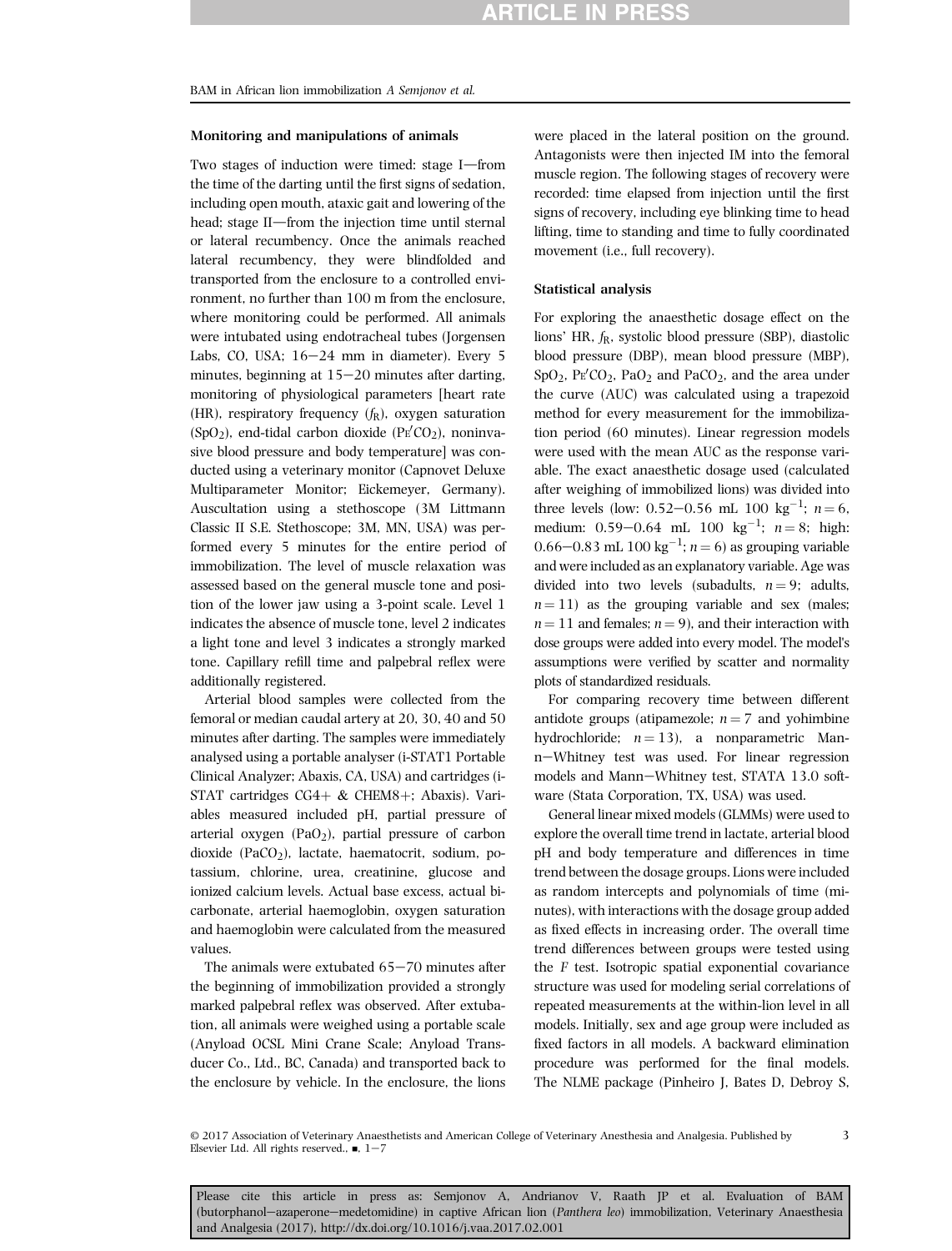#### Monitoring and manipulations of animals

Two stages of induction were timed: stage I-from the time of the darting until the first signs of sedation, including open mouth, ataxic gait and lowering of the head: stage II-from the injection time until sternal or lateral recumbency. Once the animals reached lateral recumbency, they were blindfolded and transported from the enclosure to a controlled environment, no further than 100 m from the enclosure, where monitoring could be performed. All animals were intubated using endotracheal tubes (Jorgensen Labs, CO, USA;  $16-24$  mm in diameter). Every 5 minutes, beginning at  $15-20$  minutes after darting, monitoring of physiological parameters [heart rate (HR), respiratory frequency  $(f_R)$ , oxygen saturation  $(SpO<sub>2</sub>)$ , end-tidal carbon dioxide (PE $^{\prime}CO_{2}$ ), noninvasive blood pressure and body temperature] was conducted using a veterinary monitor (Capnovet Deluxe Multiparameter Monitor; Eickemeyer, Germany). Auscultation using a stethoscope (3M Littmann Classic II S.E. Stethoscope; 3M, MN, USA) was performed every 5 minutes for the entire period of immobilization. The level of muscle relaxation was assessed based on the general muscle tone and position of the lower jaw using a 3-point scale. Level 1 indicates the absence of muscle tone, level 2 indicates a light tone and level 3 indicates a strongly marked tone. Capillary refill time and palpebral reflex were additionally registered.

Arterial blood samples were collected from the femoral or median caudal artery at 20, 30, 40 and 50 minutes after darting. The samples were immediately analysed using a portable analyser (i-STAT1 Portable Clinical Analyzer; Abaxis, CA, USA) and cartridges (i-STAT cartridges  $CG4+&CHEM8+; Abaxis$ ). Variables measured included pH, partial pressure of arterial oxygen  $(PaO<sub>2</sub>)$ , partial pressure of carbon dioxide (PaCO<sub>2</sub>), lactate, haematocrit, sodium, potassium, chlorine, urea, creatinine, glucose and ionized calcium levels. Actual base excess, actual bicarbonate, arterial haemoglobin, oxygen saturation and haemoglobin were calculated from the measured values.

The animals were extubated  $65-70$  minutes after the beginning of immobilization provided a strongly marked palpebral reflex was observed. After extubation, all animals were weighed using a portable scale (Anyload OCSL Mini Crane Scale; Anyload Transducer Co., Ltd., BC, Canada) and transported back to the enclosure by vehicle. In the enclosure, the lions

were placed in the lateral position on the ground. Antagonists were then injected IM into the femoral muscle region. The following stages of recovery were recorded: time elapsed from injection until the first signs of recovery, including eye blinking time to head lifting, time to standing and time to fully coordinated movement (i.e., full recovery).

### Statistical analysis

For exploring the anaesthetic dosage effect on the lions' HR,  $f_R$ , systolic blood pressure (SBP), diastolic blood pressure (DBP), mean blood pressure (MBP),  $SpO<sub>2</sub>$ ,  $Pe'CO<sub>2</sub>$ ,  $PaO<sub>2</sub>$  and  $PaCO<sub>2</sub>$ , and the area under the curve (AUC) was calculated using a trapezoid method for every measurement for the immobilization period (60 minutes). Linear regression models were used with the mean AUC as the response variable. The exact anaesthetic dosage used (calculated after weighing of immobilized lions) was divided into three levels (low: 0.52–0.56 mL 100 kg<sup>-1</sup>;  $n = 6$ , medium: 0.59–0.64 mL 100 kg<sup>-1</sup>;  $n = 8$ ; high: 0.66–0.83 mL 100 kg<sup>-1</sup>;  $n = 6$ ) as grouping variable and were included as an explanatory variable. Age was divided into two levels (subadults,  $n = 9$ ; adults,  $n = 11$ ) as the grouping variable and sex (males;  $n = 11$  and females;  $n = 9$ ), and their interaction with dose groups were added into every model. The model's assumptions were verified by scatter and normality plots of standardized residuals.

For comparing recovery time between different antidote groups (atipamezole;  $n = 7$  and yohimbine hydrochloride;  $n = 13$ ), a nonparametric Mann-Whitney test was used. For linear regression models and Mann-Whitney test, STATA 13.0 software (Stata Corporation, TX, USA) was used.

General linear mixed models (GLMMs) were used to explore the overall time trend in lactate, arterial blood pH and body temperature and differences in time trend between the dosage groups. Lions were included as random intercepts and polynomials of time (minutes), with interactions with the dosage group added as fixed effects in increasing order. The overall time trend differences between groups were tested using the F test. Isotropic spatial exponential covariance structure was used for modeling serial correlations of repeated measurements at the within-lion level in all models. Initially, sex and age group were included as fixed factors in all models. A backward elimination procedure was performed for the final models. The NLME package (Pinheiro J, Bates D, Debroy S,

3

<sup>©</sup> 2017 Association of Veterinary Anaesthetists and American College of Veterinary Anesthesia and Analgesia. Published by Elsevier Ltd. All rights reserved.,  $\blacksquare$ ,  $1-7$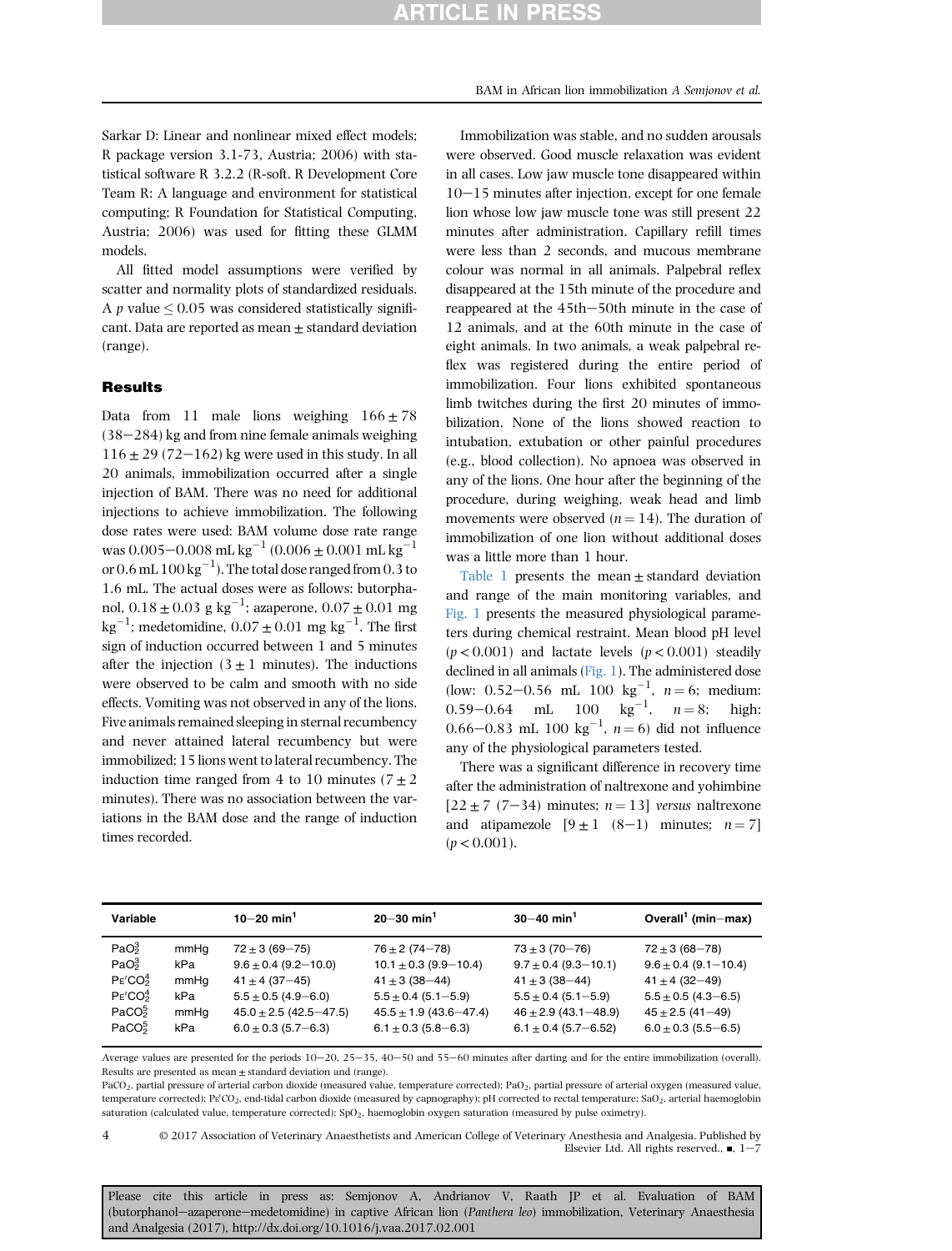<span id="page-3-0"></span>Sarkar D: Linear and nonlinear mixed effect models; R package version 3.1-73, Austria; 2006) with statistical software R 3.2.2 (R-soft. R Development Core Team R: A language and environment for statistical computing; R Foundation for Statistical Computing, Austria; 2006) was used for fitting these GLMM models.

All fitted model assumptions were verified by scatter and normality plots of standardized residuals. A p value  $\leq 0.05$  was considered statistically significant. Data are reported as mean  $\pm$  standard deviation (range).

## **Results**

Data from 11 male lions weighing  $166 \pm 78$  $(38-284)$  kg and from nine female animals weighing  $116 \pm 29$  (72-162) kg were used in this study. In all 20 animals, immobilization occurred after a single injection of BAM. There was no need for additional injections to achieve immobilization. The following dose rates were used: BAM volume dose rate range was 0.005 $-0.008$  mL kg<sup>-1</sup> (0.006  $\pm$  0.001 mL kg<sup>-1</sup> or  $0.6$  mL  $100\,\mathrm{kg}^{-1}$ ). The total dose ranged from  $0.3$  to 1.6 mL. The actual doses were as follows: butorphanol,  $0.18\pm0.03\,$  g  $\text{kg}^{-1}$ ; azaperone,  $0.07\pm0.01\,$  mg  $\text{kg}^{-1}$ ; medetomidine, 0.07  $\pm$  0.01 mg kg<sup>-1</sup>. The first sign of induction occurred between 1 and 5 minutes after the injection  $(3 \pm 1)$  minutes). The inductions were observed to be calm and smooth with no side effects. Vomiting was not observed in any of the lions. Five animals remained sleeping in sternal recumbency and never attained lateral recumbency but were immobilized; 15 lions went to lateral recumbency. The induction time ranged from 4 to 10 minutes ( $7 \pm 2$ ) minutes). There was no association between the variations in the BAM dose and the range of induction times recorded.

Immobilization was stable, and no sudden arousals were observed. Good muscle relaxation was evident in all cases. Low jaw muscle tone disappeared within  $10-15$  minutes after injection, except for one female lion whose low jaw muscle tone was still present 22 minutes after administration. Capillary refill times were less than 2 seconds, and mucous membrane colour was normal in all animals. Palpebral reflex disappeared at the 15th minute of the procedure and reappeared at the 45th-50th minute in the case of 12 animals, and at the 60th minute in the case of eight animals. In two animals, a weak palpebral reflex was registered during the entire period of immobilization. Four lions exhibited spontaneous limb twitches during the first 20 minutes of immobilization. None of the lions showed reaction to intubation, extubation or other painful procedures (e.g., blood collection). No apnoea was observed in any of the lions. One hour after the beginning of the procedure, during weighing, weak head and limb movements were observed  $(n = 14)$ . The duration of immobilization of one lion without additional doses was a little more than 1 hour.

Table 1 presents the mean  $\pm$  standard deviation and range of the main monitoring variables, and [Fig. 1](#page-4-0) presents the measured physiological parameters during chemical restraint. Mean blood pH level  $(p < 0.001)$  and lactate levels  $(p < 0.001)$  steadily declined in all animals ([Fig. 1\)](#page-4-0). The administered dose (low: 0.52–0.56 mL 100 kg<sup>-1</sup>,  $n = 6$ ; medium: 0.59–0.64 mL 100 kg<sup>-1</sup>,  $n = 8$ ; high: 0.66–0.83 mL 100  $\text{kg}^{-1}$ ,  $n = 6$ ) did not influence any of the physiological parameters tested.

There was a significant difference in recovery time after the administration of naltrexone and yohimbine  $[22 \pm 7 \ (7-34) \text{ minutes}; n = 13] \text{ versus } n = 13$ and atipamezole  $[9 \pm 1 \ (8-1)$  minutes;  $n = 7$ ]  $(p < 0.001)$ .

| Variable                                                                                                                                             |                                           | $10 - 20$ min <sup>1</sup>                                                                                                                                 | $20 - 30$ min <sup>1</sup>                                                                                                                                    | $30 - 40$ min <sup>1</sup>                                                                                                                                  | Overall <sup>1</sup> (min-max)                                                                                                                       |
|------------------------------------------------------------------------------------------------------------------------------------------------------|-------------------------------------------|------------------------------------------------------------------------------------------------------------------------------------------------------------|---------------------------------------------------------------------------------------------------------------------------------------------------------------|-------------------------------------------------------------------------------------------------------------------------------------------------------------|------------------------------------------------------------------------------------------------------------------------------------------------------|
| PaO <sub>2</sub><br>PaO <sub>2</sub><br>PE'CO <sub>2</sub> <sup>4</sup><br>PE'CO <sub>2</sub> <sup>4</sup><br>PaCO <sub>2</sub><br>PaCO <sub>5</sub> | mmHq<br>kPa<br>mmHq<br>kPa<br>mmHq<br>kPa | $72 \pm 3 (69 - 75)$<br>$9.6 \pm 0.4$ (9.2-10.0)<br>$41 \pm 4$ (37-45)<br>$5.5 \pm 0.5$ (4.9-6.0)<br>$45.0 \pm 2.5$ (42.5-47.5)<br>$6.0 \pm 0.3$ (5.7-6.3) | $76 \pm 2 (74 - 78)$<br>$10.1 \pm 0.3$ (9.9-10.4)<br>$41 \pm 3 (38 - 44)$<br>$5.5 \pm 0.4$ (5.1-5.9)<br>$45.5 \pm 1.9$ (43.6-47.4)<br>$6.1 \pm 0.3$ (5.8–6.3) | $73 \pm 3 (70 - 76)$<br>$9.7 \pm 0.4$ (9.3-10.1)<br>$41 \pm 3 (38 - 44)$<br>$5.5 \pm 0.4$ (5.1-5.9)<br>$46 \pm 2.9$ (43.1-48.9)<br>$6.1 \pm 0.4$ (5.7-6.52) | $72 \pm 3 (68 - 78)$<br>$9.6 \pm 0.4$ (9.1-10.4)<br>$41 \pm 4$ (32-49)<br>$5.5 \pm 0.5$ (4.3-6.5)<br>$45 \pm 2.5$ (41-49)<br>$6.0 \pm 0.3$ (5.5–6.5) |
|                                                                                                                                                      |                                           |                                                                                                                                                            |                                                                                                                                                               |                                                                                                                                                             |                                                                                                                                                      |

Average values are presented for the periods  $10-20$ ,  $25-35$ ,  $40-50$  and  $55-60$  minutes after darting and for the entire immobilization (overall). Results are presented as mean  $\pm$  standard deviation and (range).

PaCO<sub>2</sub>, partial pressure of arterial carbon dioxide (measured value, temperature corrected); PaO<sub>2</sub>, partial pressure of arterial oxygen (measured value, temperature corrected); Pr'CO<sub>2</sub>, end-tidal carbon dioxide (measured by capnography); pH corrected to rectal temperature; SaO<sub>2</sub>, arterial haemoglobin saturation (calculated value, temperature corrected);  $SpO<sub>2</sub>$ , haemoglobin oxygen saturation (measured by pulse oximetry).

© 2017 Association of Veterinary Anaesthetists and American College of Veterinary Anesthesia and Analgesia. Published by Elsevier Ltd. All rights reserved.,  $\blacksquare$ , 1-4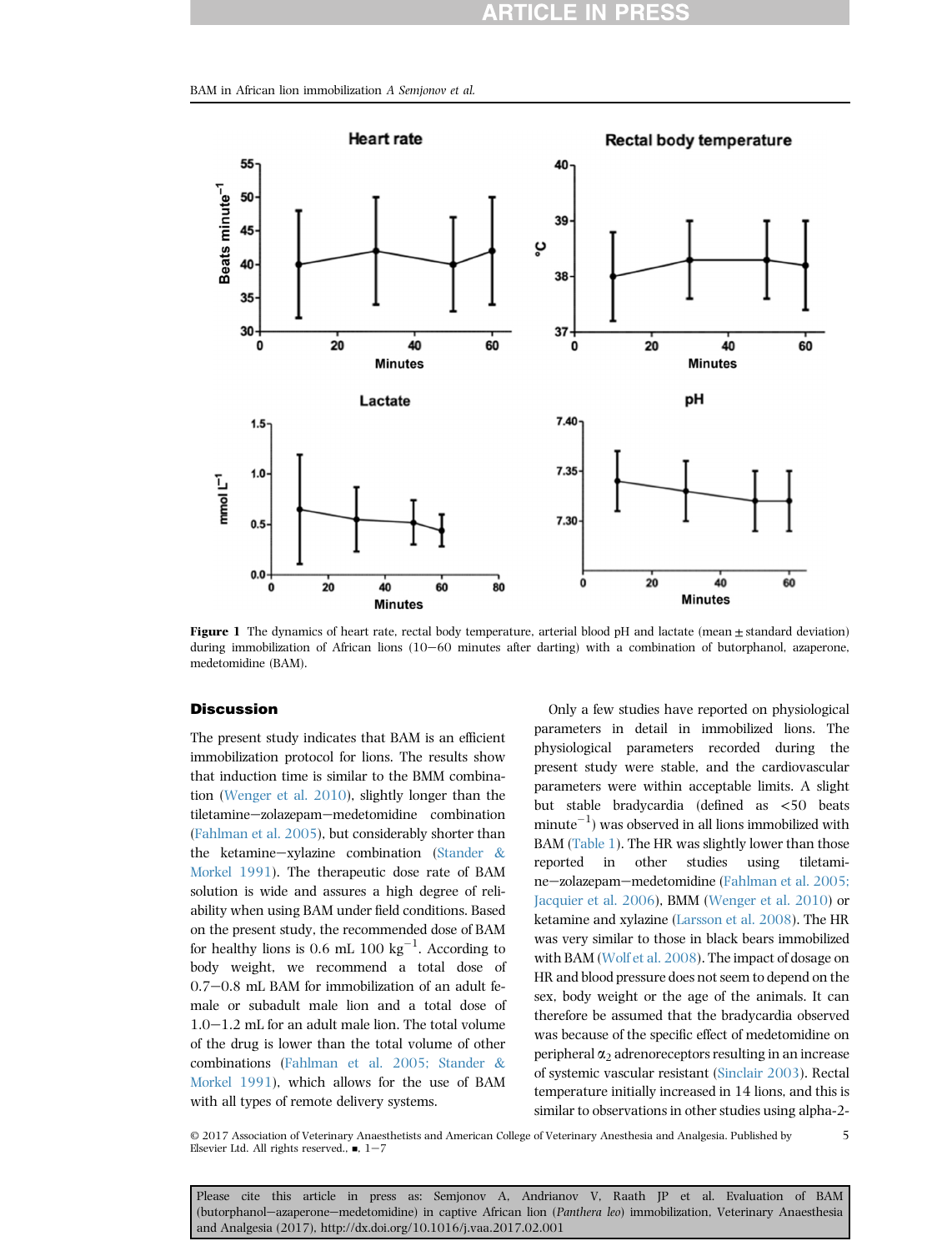<span id="page-4-0"></span>BAM in African lion immobilization A Semjonov et al.



Figure 1 The dynamics of heart rate, rectal body temperature, arterial blood pH and lactate (mean  $\pm$  standard deviation) during immobilization of African lions (10-60 minutes after darting) with a combination of butorphanol, azaperone, medetomidine (BAM).

# **Discussion**

The present study indicates that BAM is an efficient immobilization protocol for lions. The results show that induction time is similar to the BMM combination [\(Wenger et al. 2010\)](#page-6-0), slightly longer than the tiletamine-zolazepam-medetomidine combination ([Fahlman et al. 2005\)](#page-5-0), but considerably shorter than the ketamine-xylazine combination ([Stander](#page-6-0)  $\&$ [Morkel 1991](#page-6-0)). The therapeutic dose rate of BAM solution is wide and assures a high degree of reliability when using BAM under field conditions. Based on the present study, the recommended dose of BAM for healthy lions is 0.6 mL 100  $\text{kg}^{-1}$ . According to body weight, we recommend a total dose of  $0.7-0.8$  mL BAM for immobilization of an adult female or subadult male lion and a total dose of  $1.0-1.2$  mL for an adult male lion. The total volume of the drug is lower than the total volume of other combinations [\(Fahlman et al. 2005; Stander](#page-5-0) & [Morkel 1991](#page-5-0)), which allows for the use of BAM with all types of remote delivery systems.

Only a few studies have reported on physiological parameters in detail in immobilized lions. The physiological parameters recorded during the present study were stable, and the cardiovascular parameters were within acceptable limits. A slight but stable bradycardia (defined as <50 beats  $minute^{-1}$ ) was observed in all lions immobilized with BAM ([Table 1\)](#page-3-0). The HR was slightly lower than those reported in other studies using tiletami-ne-zolazepam-medetomidine ([Fahlman et al. 2005;](#page-5-0) [Jacquier et al. 2006\)](#page-5-0), BMM [\(Wenger et al. 2010\)](#page-6-0) or ketamine and xylazine [\(Larsson et al. 2008](#page-5-0)). The HR was very similar to those in black bears immobilized with BAM ([Wolf et al. 2008](#page-6-0)). The impact of dosage on HR and blood pressure does not seem to depend on the sex, body weight or the age of the animals. It can therefore be assumed that the bradycardia observed was because of the specific effect of medetomidine on peripheral  $\alpha_2$  adrenoreceptors resulting in an increase of systemic vascular resistant [\(Sinclair 2003](#page-6-0)). Rectal temperature initially increased in 14 lions, and this is similar to observations in other studies using alpha-2-

© 2017 Association of Veterinary Anaesthetists and American College of Veterinary Anesthesia and Analgesia. Published by Elsevier Ltd. All rights reserved.,  $\blacksquare$ ,  $1-7$ 5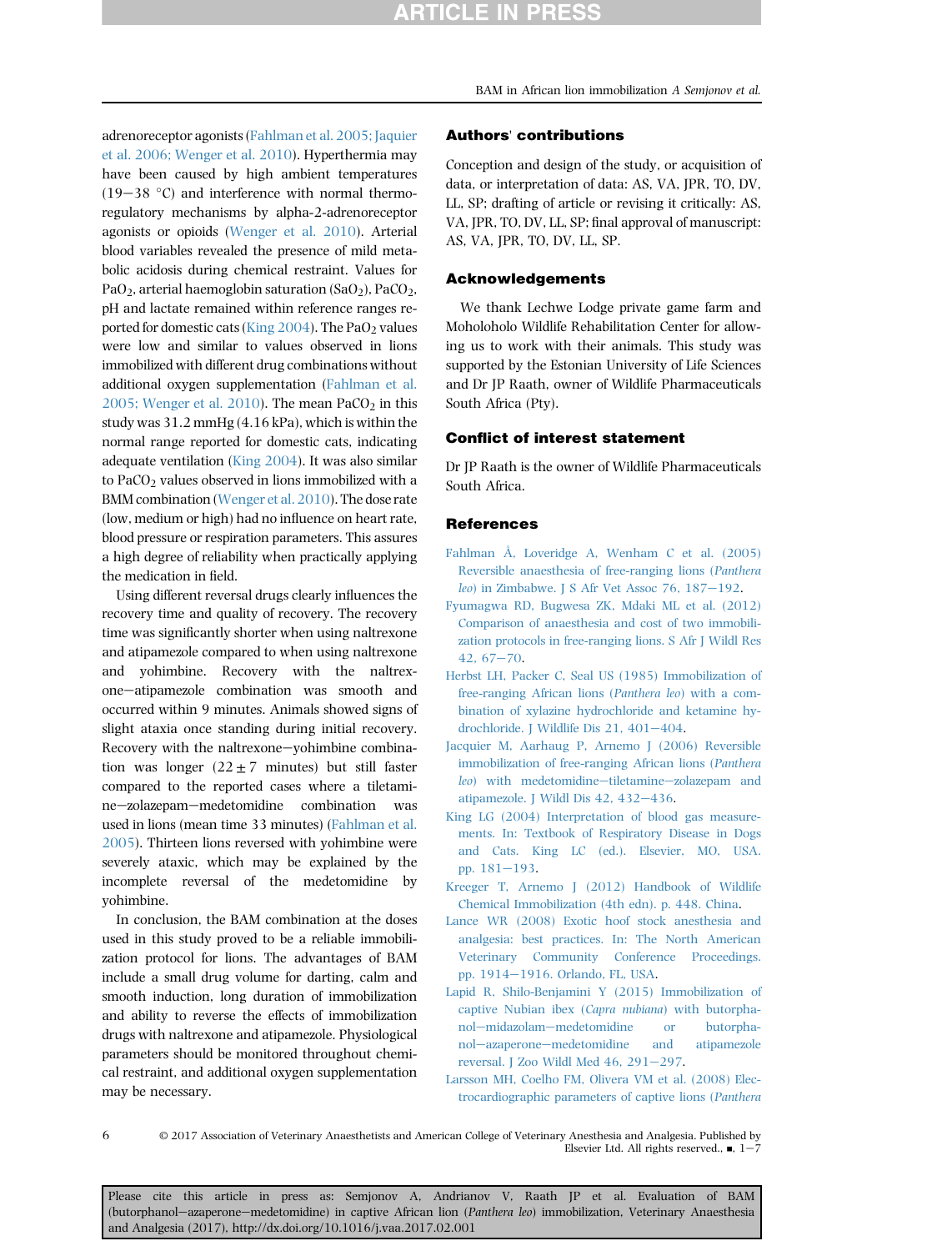<span id="page-5-0"></span>adrenoreceptor agonists (Fahlman et al. 2005; Jaquier et al. 2006; Wenger et al. 2010). Hyperthermia may have been caused by high ambient temperatures  $(19-38 \degree C)$  and interference with normal thermoregulatory mechanisms by alpha-2-adrenoreceptor agonists or opioids ([Wenger et al. 2010\)](#page-6-0). Arterial blood variables revealed the presence of mild metabolic acidosis during chemical restraint. Values for PaO<sub>2</sub>, arterial haemoglobin saturation (SaO<sub>2</sub>), PaCO<sub>2</sub>, pH and lactate remained within reference ranges reported for domestic cats (King  $2004$ ). The PaO<sub>2</sub> values were low and similar to values observed in lions immobilized with different drug combinations without additional oxygen supplementation (Fahlman et al. 2005; Wenger et al. 2010). The mean  $PaCO<sub>2</sub>$  in this study was 31.2 mmHg (4.16 kPa), which is within the normal range reported for domestic cats, indicating adequate ventilation (King 2004). It was also similar to  $PaCO<sub>2</sub>$  values observed in lions immobilized with a BMM combination [\(Wenger et al. 2010](#page-6-0)). The dose rate (low, medium or high) had no influence on heart rate, blood pressure or respiration parameters. This assures a high degree of reliability when practically applying the medication in field.

Using different reversal drugs clearly influences the recovery time and quality of recovery. The recovery time was significantly shorter when using naltrexone and atipamezole compared to when using naltrexone and yohimbine. Recovery with the naltrexone-atipamezole combination was smooth and occurred within 9 minutes. Animals showed signs of slight ataxia once standing during initial recovery. Recovery with the naltrexone-yohimbine combination was longer  $(22 \pm 7 \text{ minutes})$  but still faster compared to the reported cases where a tiletamine-zolazepam-medetomidine combination was used in lions (mean time 33 minutes) (Fahlman et al. 2005). Thirteen lions reversed with yohimbine were severely ataxic, which may be explained by the incomplete reversal of the medetomidine by yohimbine.

In conclusion, the BAM combination at the doses used in this study proved to be a reliable immobilization protocol for lions. The advantages of BAM include a small drug volume for darting, calm and smooth induction, long duration of immobilization and ability to reverse the effects of immobilization drugs with naltrexone and atipamezole. Physiological parameters should be monitored throughout chemical restraint, and additional oxygen supplementation may be necessary.

### Authors' contributions

Conception and design of the study, or acquisition of data, or interpretation of data: AS, VA, JPR, TO, DV, LL, SP; drafting of article or revising it critically: AS, VA, JPR, TO, DV, LL, SP; final approval of manuscript: AS, VA, JPR, TO, DV, LL, SP.

# Acknowledgements

We thank Lechwe Lodge private game farm and Moholoholo Wildlife Rehabilitation Center for allowing us to work with their animals. This study was supported by the Estonian University of Life Sciences and Dr JP Raath, owner of Wildlife Pharmaceuticals South Africa (Pty).

# Conflict of interest statement

Dr JP Raath is the owner of Wildlife Pharmaceuticals South Africa.

#### References

- [Fahlman Å, Loveridge A, Wenham C et al. \(2005\)](http://refhub.elsevier.com/S1467-2987(17)30064-8/sref7) [Reversible anaesthesia of free-ranging lions \(](http://refhub.elsevier.com/S1467-2987(17)30064-8/sref7)Panthera leo) in Zimbabwe. J S Afr Vet Assoc 76,  $187-192$  $187-192$ .
- [Fyumagwa RD, Bugwesa ZK, Mdaki ML et al. \(2012\)](http://refhub.elsevier.com/S1467-2987(17)30064-8/sref9) [Comparison of anaesthesia and cost of two immobili](http://refhub.elsevier.com/S1467-2987(17)30064-8/sref9)[zation protocols in free-ranging lions. S Afr J Wildl Res](http://refhub.elsevier.com/S1467-2987(17)30064-8/sref9)  $42,67-70.$  $42,67-70.$  $42,67-70.$
- [Herbst LH, Packer C, Seal US \(1985\) Immobilization of](http://refhub.elsevier.com/S1467-2987(17)30064-8/sref10) [free-ranging African lions \(](http://refhub.elsevier.com/S1467-2987(17)30064-8/sref10)Panthera leo) with a com[bination of xylazine hydrochloride and ketamine hy](http://refhub.elsevier.com/S1467-2987(17)30064-8/sref10)drochloride. J Wildlife Dis  $21, 401-404$  $21, 401-404$ .
- [Jacquier M, Aarhaug P, Arnemo J \(2006\) Reversible](http://refhub.elsevier.com/S1467-2987(17)30064-8/sref11) [immobilization of free-ranging African lions \(](http://refhub.elsevier.com/S1467-2987(17)30064-8/sref11)Panthera leo[\) with medetomidine](http://refhub.elsevier.com/S1467-2987(17)30064-8/sref11)-[tiletamine](http://refhub.elsevier.com/S1467-2987(17)30064-8/sref11)-[zolazepam and](http://refhub.elsevier.com/S1467-2987(17)30064-8/sref11) [atipamezole. J Wildl Dis 42, 432](http://refhub.elsevier.com/S1467-2987(17)30064-8/sref11)-[436](http://refhub.elsevier.com/S1467-2987(17)30064-8/sref11).
- [King LG \(2004\) Interpretation of blood gas measure](http://refhub.elsevier.com/S1467-2987(17)30064-8/sref12)[ments. In: Textbook of Respiratory Disease in Dogs](http://refhub.elsevier.com/S1467-2987(17)30064-8/sref12) [and Cats. King LC \(ed.\). Elsevier, MO, USA.](http://refhub.elsevier.com/S1467-2987(17)30064-8/sref12) [pp. 181](http://refhub.elsevier.com/S1467-2987(17)30064-8/sref12)-[193.](http://refhub.elsevier.com/S1467-2987(17)30064-8/sref12)
- [Kreeger T, Arnemo J \(2012\) Handbook of Wildlife](http://refhub.elsevier.com/S1467-2987(17)30064-8/sref14) [Chemical Immobilization \(4th edn\). p. 448. China](http://refhub.elsevier.com/S1467-2987(17)30064-8/sref14).
- [Lance WR \(2008\) Exotic hoof stock anesthesia and](http://refhub.elsevier.com/S1467-2987(17)30064-8/sref15) [analgesia: best practices. In: The North American](http://refhub.elsevier.com/S1467-2987(17)30064-8/sref15) [Veterinary Community Conference Proceedings.](http://refhub.elsevier.com/S1467-2987(17)30064-8/sref15) [pp. 1914](http://refhub.elsevier.com/S1467-2987(17)30064-8/sref15)-[1916. Orlando, FL, USA.](http://refhub.elsevier.com/S1467-2987(17)30064-8/sref15)
- [Lapid R, Shilo-Benjamini Y \(2015\) Immobilization of](http://refhub.elsevier.com/S1467-2987(17)30064-8/sref16) [captive Nubian ibex \(](http://refhub.elsevier.com/S1467-2987(17)30064-8/sref16)Capra nubiana) with butorpha[nol](http://refhub.elsevier.com/S1467-2987(17)30064-8/sref16)-[midazolam](http://refhub.elsevier.com/S1467-2987(17)30064-8/sref16)-[medetomidine or butorpha](http://refhub.elsevier.com/S1467-2987(17)30064-8/sref16)[nol](http://refhub.elsevier.com/S1467-2987(17)30064-8/sref16)-[azaperone](http://refhub.elsevier.com/S1467-2987(17)30064-8/sref16)-[medetomidine and atipamezole](http://refhub.elsevier.com/S1467-2987(17)30064-8/sref16) reversal. J Zoo Wildl Med  $46$ ,  $291-297$ .
- [Larsson MH, Coelho FM, Olivera VM et al. \(2008\) Elec](http://refhub.elsevier.com/S1467-2987(17)30064-8/sref17)[trocardiographic parameters of captive lions \(](http://refhub.elsevier.com/S1467-2987(17)30064-8/sref17)Panthera

6

© 2017 Association of Veterinary Anaesthetists and American College of Veterinary Anesthesia and Analgesia. Published by Elsevier Ltd. All rights reserved.,  $\blacksquare$ , 1-